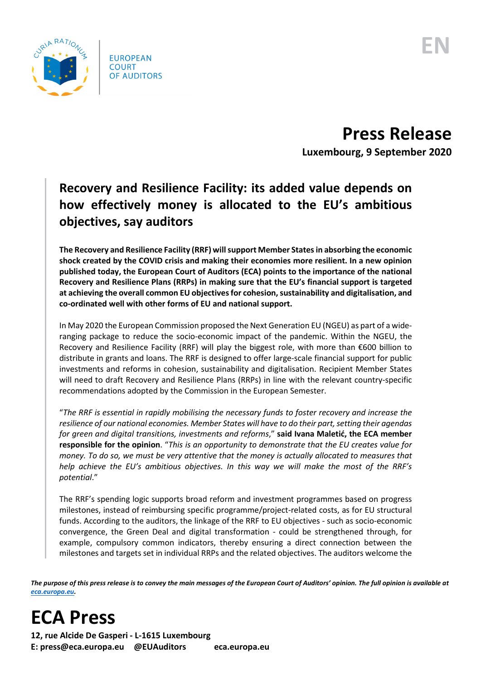

**Press Release Luxembourg, 9 September 2020**

## **Recovery and Resilience Facility: its added value depends on how effectively money is allocated to the EU's ambitious objectives, say auditors**

**The Recovery and Resilience Facility (RRF) willsupport Member Statesin absorbing the economic shock created by the COVID crisis and making their economies more resilient. In a new opinion published today, the European Court of Auditors (ECA) points to the importance of the national Recovery and Resilience Plans (RRPs) in making sure that the EU's financial support is targeted at achieving the overall common EU objectives for cohesion, sustainability and digitalisation, and co-ordinated well with other forms of EU and national support.** 

In May 2020 the European Commission proposed the Next Generation EU (NGEU) as part of a wideranging package to reduce the socio-economic impact of the pandemic. Within the NGEU, the Recovery and Resilience Facility (RRF) will play the biggest role, with more than €600 billion to distribute in grants and loans. The RRF is designed to offer large-scale financial support for public investments and reforms in cohesion, sustainability and digitalisation. Recipient Member States will need to draft Recovery and Resilience Plans (RRPs) in line with the relevant country-specific recommendations adopted by the Commission in the European Semester.

"*The RRF is essential in rapidly mobilising the necessary funds to foster recovery and increase the resilience of our national economies. Member States will have to do their part,setting their agendas for green and digital transitions, investments and reforms*," **said Ivana Maletić, the ECA member responsible for the opinion**. "*This is an opportunity to demonstrate that the EU creates value for money. To do so, we must be very attentive that the money is actually allocated to measures that help achieve the EU's ambitious objectives. In this way we will make the most of the RRF's potential*."

The RRF's spending logic supports broad reform and investment programmes based on progress milestones, instead of reimbursing specific programme/project-related costs, as for EU structural funds. According to the auditors, the linkage of the RRF to EU objectives - such as socio-economic convergence, the Green Deal and digital transformation - could be strengthened through, for example, compulsory common indicators, thereby ensuring a direct connection between the milestones and targets set in individual RRPs and the related objectives. The auditors welcome the

*The purpose of this press release is to convey the main messages of the European Court of Auditors' opinion. The full opinion is available at [eca.europa.eu.](https://www.eca.europa.eu/)*

**ECA Press**

**12, rue Alcide De Gasperi - L-1615 Luxembourg E: press@eca.europa.eu @EUAuditors eca.europa.eu**